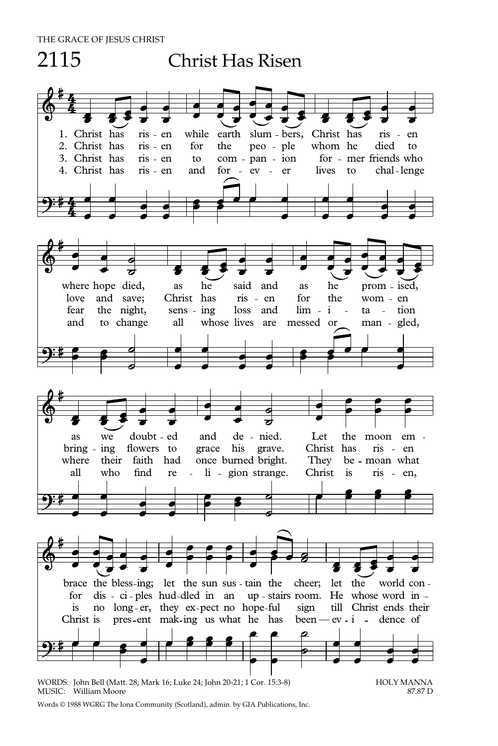## 2115 Christ Has Risen 1. Christ has ris en while earth slum bers, Christ has ris - en 2. Christ has ris - en for the peo - ple whom he died to 3. Christ has ris - en to com - pan - ion for - mer friends who 4. Christ has ris en and for ev er lives to chal lenge where hope died, as he said and as he prom ised, love and save; Christ has ris en for the wom en fear the night, sens ing loss and lim i ta - tion<br>and to change all whose lives are messed or man - gled whose lives are messed or man - gled, as we doubt ed and de nied. Let the moon em bring ing flowers to grace his grave. Christ has ris - en where their faith had once-burned-bright. They be - moan what all who find re li gion strange. Christ is ris en, brace the bless-ing; let the sun sus - tain the cheer; let the world confor dis - ci - ples hud-dled in an up - stairs room. He whose word in is no long er, they ex pect no hope ful sign till Christ ends their Christ is pres-ent mak-ing us what he has been  $-ev - i$  - dence of

WORDS: John Bell (Matt. 28; Mark 16; Luke 24; John 20-21; 1 Cor. 15:3-8) HOLY MANNA<br>MUSIC: William Moore 87.87 D MUSIC: William Moore

Words © 1988 WGRG The Iona Community (Scotland), admin. by GIA Publications, Inc.